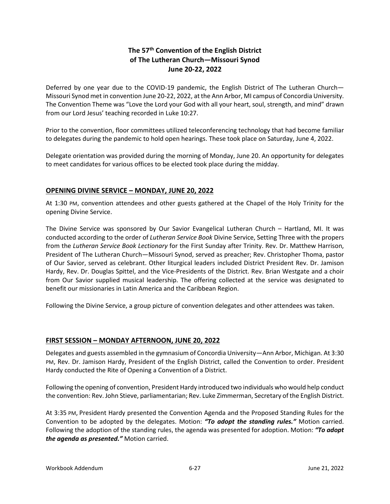# **The 57th Convention of the English District of The Lutheran Church—Missouri Synod June 20-22, 2022**

Deferred by one year due to the COVID-19 pandemic, the English District of The Lutheran Church— Missouri Synod met in convention June 20-22, 2022, at the Ann Arbor, MI campus of Concordia University. The Convention Theme was "Love the Lord your God with all your heart, soul, strength, and mind" drawn from our Lord Jesus' teaching recorded in Luke 10:27.

Prior to the convention, floor committees utilized teleconferencing technology that had become familiar to delegates during the pandemic to hold open hearings. These took place on Saturday, June 4, 2022.

Delegate orientation was provided during the morning of Monday, June 20. An opportunity for delegates to meet candidates for various offices to be elected took place during the midday.

## **OPENING DIVINE SERVICE – MONDAY, JUNE 20, 2022**

At 1:30 PM, convention attendees and other guests gathered at the Chapel of the Holy Trinity for the opening Divine Service.

The Divine Service was sponsored by Our Savior Evangelical Lutheran Church – Hartland, MI. It was conducted according to the order of *Lutheran Service Book* Divine Service, Setting Three with the propers from the *Lutheran Service Book Lectionary* for the First Sunday after Trinity. Rev. Dr. Matthew Harrison, President of The Lutheran Church—Missouri Synod, served as preacher; Rev. Christopher Thoma, pastor of Our Savior, served as celebrant. Other liturgical leaders included District President Rev. Dr. Jamison Hardy, Rev. Dr. Douglas Spittel, and the Vice-Presidents of the District. Rev. Brian Westgate and a choir from Our Savior supplied musical leadership. The offering collected at the service was designated to benefit our missionaries in Latin America and the Caribbean Region.

Following the Divine Service, a group picture of convention delegates and other attendees was taken.

### **FIRST SESSION – MONDAY AFTERNOON, JUNE 20, 2022**

Delegates and guests assembled in the gymnasium of Concordia University—Ann Arbor, Michigan. At 3:30 PM, Rev. Dr. Jamison Hardy, President of the English District, called the Convention to order. President Hardy conducted the Rite of Opening a Convention of a District.

Following the opening of convention, President Hardy introduced two individuals who would help conduct the convention: Rev. John Stieve, parliamentarian; Rev. Luke Zimmerman, Secretary of the English District.

At 3:35 PM, President Hardy presented the Convention Agenda and the Proposed Standing Rules for the Convention to be adopted by the delegates. Motion: *"To adopt the standing rules."* Motion carried. Following the adoption of the standing rules, the agenda was presented for adoption. Motion: *"To adopt the agenda as presented."* Motion carried.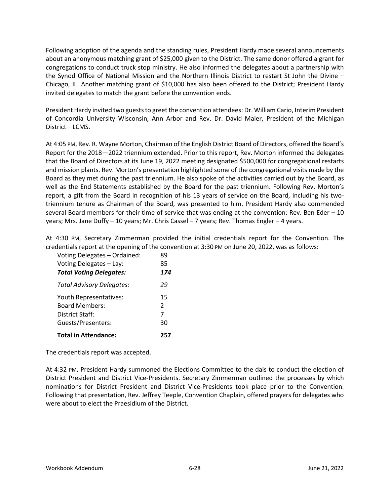Following adoption of the agenda and the standing rules, President Hardy made several announcements about an anonymous matching grant of \$25,000 given to the District. The same donor offered a grant for congregations to conduct truck stop ministry. He also informed the delegates about a partnership with the Synod Office of National Mission and the Northern Illinois District to restart St John the Divine – Chicago, IL. Another matching grant of \$10,000 has also been offered to the District; President Hardy invited delegates to match the grant before the convention ends.

President Hardy invited two guests to greet the convention attendees: Dr. William Cario, Interim President of Concordia University Wisconsin, Ann Arbor and Rev. Dr. David Maier, President of the Michigan District—LCMS.

At 4:05 PM, Rev. R. Wayne Morton, Chairman of the English District Board of Directors, offered the Board's Report for the 2018—2022 triennium extended. Prior to this report, Rev. Morton informed the delegates that the Board of Directors at its June 19, 2022 meeting designated \$500,000 for congregational restarts and mission plants. Rev. Morton's presentation highlighted some of the congregational visits made by the Board as they met during the past triennium. He also spoke of the activities carried out by the Board, as well as the End Statements established by the Board for the past triennium. Following Rev. Morton's report, a gift from the Board in recognition of his 13 years of service on the Board, including his twotriennium tenure as Chairman of the Board, was presented to him. President Hardy also commended several Board members for their time of service that was ending at the convention: Rev. Ben Eder – 10 years; Mrs. Jane Duffy – 10 years; Mr. Chris Cassel – 7 years; Rev. Thomas Engler – 4 years.

At 4:30 PM, Secretary Zimmerman provided the initial credentials report for the Convention. The credentials report at the opening of the convention at 3:30 PM on June 20, 2022, was as follows:

| Voting Delegates - Ordained:     | 89            |
|----------------------------------|---------------|
| Voting Delegates - Lay:          | 85            |
| <b>Total Voting Delegates:</b>   | 174           |
| <b>Total Advisory Delegates:</b> | 29            |
| Youth Representatives:           | 15            |
| <b>Board Members:</b>            | $\mathcal{P}$ |
| District Staff:                  | 7             |
| Guests/Presenters:               | 30            |
| <b>Total in Attendance:</b>      | 25            |

The credentials report was accepted.

At 4:32 PM, President Hardy summoned the Elections Committee to the dais to conduct the election of District President and District Vice-Presidents. Secretary Zimmerman outlined the processes by which nominations for District President and District Vice-Presidents took place prior to the Convention. Following that presentation, Rev. Jeffrey Teeple, Convention Chaplain, offered prayers for delegates who were about to elect the Praesidium of the District.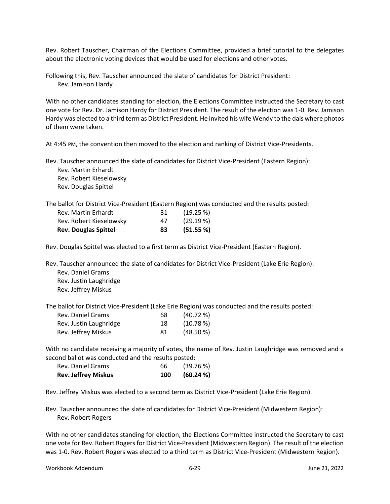Rev. Robert Tauscher, Chairman of the Elections Committee, provided a brief tutorial to the delegates about the electronic voting devices that would be used for elections and other votes.

Following this, Rev. Tauscher announced the slate of candidates for District President: Rev. Jamison Hardy

With no other candidates standing for election, the Elections Committee instructed the Secretary to cast one vote for Rev. Dr. Jamison Hardy for District President. The result of the election was 1-0. Rev. Jamison Hardy was elected to a third term as District President. He invited his wife Wendy to the dais where photos of them were taken.

At 4:45 PM, the convention then moved to the election and ranking of District Vice-Presidents.

Rev. Tauscher announced the slate of candidates for District Vice-President (Eastern Region): Rev. Martin Erhardt

Rev. Robert Kieselowsky Rev. Douglas Spittel

The ballot for District Vice-President (Eastern Region) was conducted and the results posted:

| 83 | (51.55%) |
|----|----------|
| 47 | (29.19%) |
| 31 | (19.25%) |
|    |          |

Rev. Douglas Spittel was elected to a first term as District Vice-President (Eastern Region).

Rev. Tauscher announced the slate of candidates for District Vice-President (Lake Erie Region): Rev. Daniel Grams Rev. Justin Laughridge

Rev. Jeffrey Miskus

The ballot for District Vice-President (Lake Erie Region) was conducted and the results posted:

| Rev. Daniel Grams      | 68  | (40.72%     |
|------------------------|-----|-------------|
| Rev. Justin Laughridge | 18  | (10.78%)    |
| Rev. Jeffrey Miskus    | -81 | $(48.50\%)$ |

With no candidate receiving a majority of votes, the name of Rev. Justin Laughridge was removed and a second ballot was conducted and the results posted:

| Rev. Daniel Grams          | 66  | (39.76 %) |
|----------------------------|-----|-----------|
| <b>Rev. Jeffrey Miskus</b> | 100 | (60.24 %) |

Rev. Jeffrey Miskus was elected to a second term as District Vice-President (Lake Erie Region).

Rev. Tauscher announced the slate of candidates for District Vice-President (Midwestern Region): Rev. Robert Rogers

With no other candidates standing for election, the Elections Committee instructed the Secretary to cast one vote for Rev. Robert Rogers for District Vice-President (Midwestern Region). The result of the election was 1-0. Rev. Robert Rogers was elected to a third term as District Vice-President (Midwestern Region).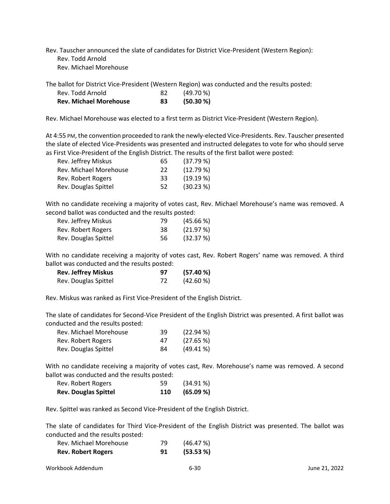Rev. Tauscher announced the slate of candidates for District Vice-President (Western Region): Rev. Todd Arnold Rev. Michael Morehouse

The ballot for District Vice-President (Western Region) was conducted and the results posted:

| <b>Rev. Michael Morehouse</b> | 83  | (50.30 %) |
|-------------------------------|-----|-----------|
| Rev. Todd Arnold              | -82 | (49.70%   |

Rev. Michael Morehouse was elected to a first term as District Vice-President (Western Region).

At 4:55 PM, the convention proceeded to rank the newly-elected Vice-Presidents. Rev. Tauscher presented the slate of elected Vice-Presidents was presented and instructed delegates to vote for who should serve as First Vice-President of the English District. The results of the first ballot were posted:

| Rev. Jeffrey Miskus    | 65 | (37.79%)    |
|------------------------|----|-------------|
| Rev. Michael Morehouse | 22 | (12.79%)    |
| Rev. Robert Rogers     | 33 | $(19.19\%)$ |
| Rev. Douglas Spittel   | 52 | $(30.23\%)$ |

With no candidate receiving a majority of votes cast, Rev. Michael Morehouse's name was removed. A second ballot was conducted and the results posted:

| Rev. Jeffrey Miskus  | 79 | $(45.66\%)$ |
|----------------------|----|-------------|
| Rev. Robert Rogers   | 38 | (21.97%)    |
| Rev. Douglas Spittel | 56 | (32.37%)    |

With no candidate receiving a majority of votes cast, Rev. Robert Rogers' name was removed. A third ballot was conducted and the results posted:

| <b>Rev. Jeffrey Miskus</b> | 97 | (57.40%)    |
|----------------------------|----|-------------|
| Rev. Douglas Spittel       | 72 | $(42.60\%)$ |

Rev. Miskus was ranked as First Vice-President of the English District.

The slate of candidates for Second-Vice President of the English District was presented. A first ballot was conducted and the results posted:

| Rev. Michael Morehouse | 39 | $(22.94\%)$ |
|------------------------|----|-------------|
| Rev. Robert Rogers     | 47 | $(27.65\%)$ |
| Rev. Douglas Spittel   | 84 | $(49.41\%)$ |

With no candidate receiving a majority of votes cast, Rev. Morehouse's name was removed. A second ballot was conducted and the results posted:

| <b>Rev. Douglas Spittel</b> | 110 | (65.09 %) |
|-----------------------------|-----|-----------|
| Rev. Robert Rogers          | 59  | (34.91%)  |

Rev. Spittel was ranked as Second Vice-President of the English District.

The slate of candidates for Third Vice-President of the English District was presented. The ballot was conducted and the results posted:

| <b>Rev. Robert Rogers</b> | 91 | (53.53 %) |
|---------------------------|----|-----------|
| Rev. Michael Morehouse    | 79 | (46.47%)  |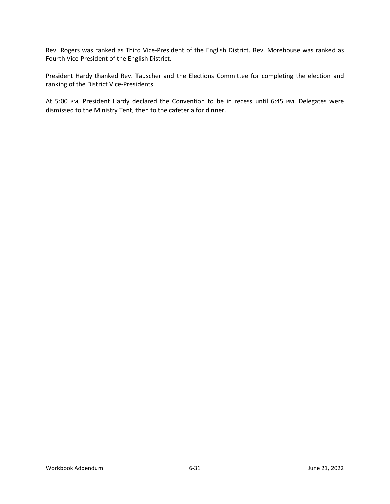Rev. Rogers was ranked as Third Vice-President of the English District. Rev. Morehouse was ranked as Fourth Vice-President of the English District.

President Hardy thanked Rev. Tauscher and the Elections Committee for completing the election and ranking of the District Vice-Presidents.

At 5:00 PM, President Hardy declared the Convention to be in recess until 6:45 PM. Delegates were dismissed to the Ministry Tent, then to the cafeteria for dinner.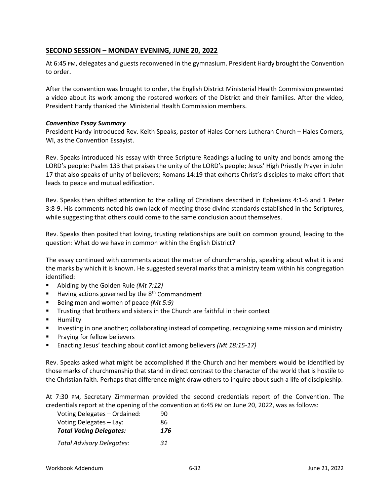## **SECOND SESSION – MONDAY EVENING, JUNE 20, 2022**

At 6:45 PM, delegates and guests reconvened in the gymnasium. President Hardy brought the Convention to order.

After the convention was brought to order, the English District Ministerial Health Commission presented a video about its work among the rostered workers of the District and their families. After the video, President Hardy thanked the Ministerial Health Commission members.

#### *Convention Essay Summary*

President Hardy introduced Rev. Keith Speaks, pastor of Hales Corners Lutheran Church – Hales Corners, WI, as the Convention Essayist.

Rev. Speaks introduced his essay with three Scripture Readings alluding to unity and bonds among the LORD's people: Psalm 133 that praises the unity of the LORD's people; Jesus' High Priestly Prayer in John 17 that also speaks of unity of believers; Romans 14:19 that exhorts Christ's disciples to make effort that leads to peace and mutual edification.

Rev. Speaks then shifted attention to the calling of Christians described in Ephesians 4:1-6 and 1 Peter 3:8-9. His comments noted his own lack of meeting those divine standards established in the Scriptures, while suggesting that others could come to the same conclusion about themselves.

Rev. Speaks then posited that loving, trusting relationships are built on common ground, leading to the question: What do we have in common within the English District?

The essay continued with comments about the matter of churchmanship, speaking about what it is and the marks by which it is known. He suggested several marks that a ministry team within his congregation identified:

- Abiding by the Golden Rule *(Mt 7:12)*
- $\blacksquare$  Having actions governed by the 8<sup>th</sup> Commandment
- Being men and women of peace *(Mt 5:9)*
- **Trusting that brothers and sisters in the Church are faithful in their context**
- **E** Humility
- **Investing in one another; collaborating instead of competing, recognizing same mission and ministry**
- Praying for fellow believers
- Enacting Jesus' teaching about conflict among believers *(Mt 18:15-17)*

Rev. Speaks asked what might be accomplished if the Church and her members would be identified by those marks of churchmanship that stand in direct contrast to the character of the world that is hostile to the Christian faith. Perhaps that difference might draw others to inquire about such a life of discipleship.

At 7:30 PM, Secretary Zimmerman provided the second credentials report of the Convention. The credentials report at the opening of the convention at 6:45 PM on June 20, 2022, was as follows:

| Voting Delegates - Ordained:     | 90  |
|----------------------------------|-----|
| Voting Delegates - Lay:          | 86  |
| <b>Total Voting Delegates:</b>   | 176 |
| <b>Total Advisory Delegates:</b> | 31  |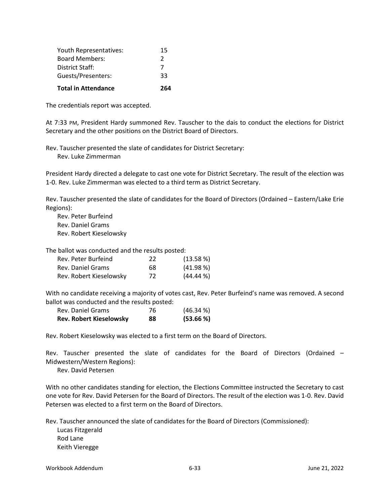| <b>Total in Attendance</b> | 264           |
|----------------------------|---------------|
| Guests/Presenters:         | 33            |
| District Staff:            | 7             |
| <b>Board Members:</b>      | $\mathcal{P}$ |
| Youth Representatives:     | 15            |

The credentials report was accepted.

At 7:33 PM, President Hardy summoned Rev. Tauscher to the dais to conduct the elections for District Secretary and the other positions on the District Board of Directors.

Rev. Tauscher presented the slate of candidates for District Secretary: Rev. Luke Zimmerman

President Hardy directed a delegate to cast one vote for District Secretary. The result of the election was 1-0. Rev. Luke Zimmerman was elected to a third term as District Secretary.

Rev. Tauscher presented the slate of candidates for the Board of Directors (Ordained – Eastern/Lake Erie Regions):

Rev. Peter Burfeind Rev. Daniel Grams Rev. Robert Kieselowsky

The ballot was conducted and the results posted:

| Rev. Peter Burfeind     | 22 | (13.58%)    |
|-------------------------|----|-------------|
| Rev. Daniel Grams       | 68 | $(41.98\%)$ |
| Rev. Robert Kieselowsky | 72 | $(44.44\%)$ |

With no candidate receiving a majority of votes cast, Rev. Peter Burfeind's name was removed. A second ballot was conducted and the results posted:

| <b>Rev. Robert Kieselowsky</b> | 88 | (53.66%) |
|--------------------------------|----|----------|
| Rev. Daniel Grams              | 76 | (46.34%  |

Rev. Robert Kieselowsky was elected to a first term on the Board of Directors.

Rev. Tauscher presented the slate of candidates for the Board of Directors (Ordained – Midwestern/Western Regions):

Rev. David Petersen

With no other candidates standing for election, the Elections Committee instructed the Secretary to cast one vote for Rev. David Petersen for the Board of Directors. The result of the election was 1-0. Rev. David Petersen was elected to a first term on the Board of Directors.

Rev. Tauscher announced the slate of candidates for the Board of Directors (Commissioned):

Lucas Fitzgerald Rod Lane Keith Vieregge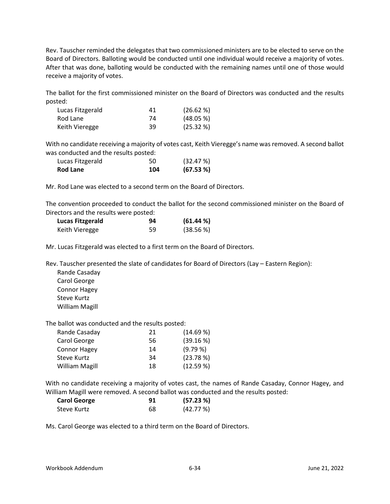Rev. Tauscher reminded the delegates that two commissioned ministers are to be elected to serve on the Board of Directors. Balloting would be conducted until one individual would receive a majority of votes. After that was done, balloting would be conducted with the remaining names until one of those would receive a majority of votes.

The ballot for the first commissioned minister on the Board of Directors was conducted and the results posted:

| Lucas Fitzgerald | 41 | (26.62%)  |
|------------------|----|-----------|
| Rod Lane         | 74 | (48.05 %) |
| Keith Vieregge   | 39 | (25.32%)  |

With no candidate receiving a majority of votes cast, Keith Vieregge's name was removed. A second ballot was conducted and the results posted:

| Lucas Fitzgerald | 50  | (32.47%) |
|------------------|-----|----------|
| Rod Lane         | 104 | (67.53%) |

Mr. Rod Lane was elected to a second term on the Board of Directors.

The convention proceeded to conduct the ballot for the second commissioned minister on the Board of Directors and the results were posted:

| Lucas Fitzgerald | 94 | (61.44%  |
|------------------|----|----------|
| Keith Vieregge   | 59 | (38.56%) |

Mr. Lucas Fitzgerald was elected to a first term on the Board of Directors.

Rev. Tauscher presented the slate of candidates for Board of Directors (Lay – Eastern Region):

Rande Casaday Carol George Connor Hagey Steve Kurtz William Magill

The ballot was conducted and the results posted:

| Rande Casaday         | 21 | (14.69%) |
|-----------------------|----|----------|
| Carol George          | 56 | (39.16%) |
| <b>Connor Hagey</b>   | 14 | (9.79%   |
| Steve Kurtz           | 34 | (23.78%) |
| <b>William Magill</b> | 18 | (12.59%) |

With no candidate receiving a majority of votes cast, the names of Rande Casaday, Connor Hagey, and William Magill were removed. A second ballot was conducted and the results posted:

| <b>Carol George</b> | 91 | (57.23%) |
|---------------------|----|----------|
| Steve Kurtz         | 68 | (42.77%) |

Ms. Carol George was elected to a third term on the Board of Directors.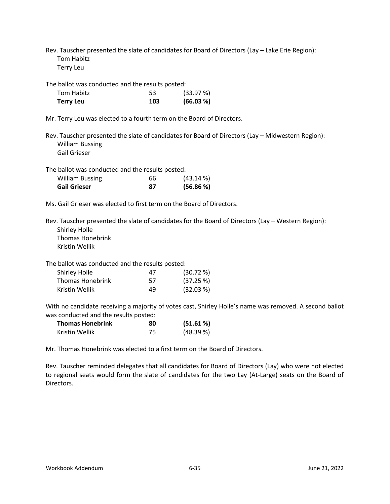Rev. Tauscher presented the slate of candidates for Board of Directors (Lay – Lake Erie Region): Tom Habitz

Terry Leu

The ballot was conducted and the results posted:

| Tom Habitz       | 53  | (33.97%)  |
|------------------|-----|-----------|
| <b>Terry Leu</b> | 103 | (66.03 %) |

Mr. Terry Leu was elected to a fourth term on the Board of Directors.

Rev. Tauscher presented the slate of candidates for Board of Directors (Lay – Midwestern Region): William Bussing Gail Grieser

The ballot was conducted and the results posted:

| <b>William Bussing</b> | 66 | $(43.14\%)$ |
|------------------------|----|-------------|
| <b>Gail Grieser</b>    | 87 | (56.86%)    |

Ms. Gail Grieser was elected to first term on the Board of Directors.

Rev. Tauscher presented the slate of candidates for the Board of Directors (Lay – Western Region): Shirley Holle Thomas Honebrink

Kristin Wellik

The ballot was conducted and the results posted:

| Shirley Holle    | 47 | (30.72%   |
|------------------|----|-----------|
| Thomas Honebrink | 57 | (37.25%)  |
| Kristin Wellik   | 49 | (32.03 %) |

With no candidate receiving a majority of votes cast, Shirley Holle's name was removed. A second ballot was conducted and the results posted:

| <b>Thomas Honebrink</b> | 80 | (51.61%) |
|-------------------------|----|----------|
| Kristin Wellik          | 75 | (48.39%) |

Mr. Thomas Honebrink was elected to a first term on the Board of Directors.

Rev. Tauscher reminded delegates that all candidates for Board of Directors (Lay) who were not elected to regional seats would form the slate of candidates for the two Lay (At-Large) seats on the Board of Directors.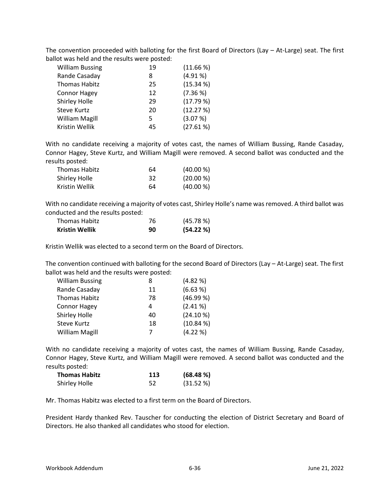The convention proceeded with balloting for the first Board of Directors (Lay – At-Large) seat. The first ballot was held and the results were posted:

| <b>William Bussing</b> | 19 | (11.66%)  |
|------------------------|----|-----------|
| Rande Casaday          | 8  | (4.91%    |
| <b>Thomas Habitz</b>   | 25 | (15.34 %) |
| <b>Connor Hagey</b>    | 12 | (7.36 %)  |
| Shirley Holle          | 29 | (17.79%   |
| <b>Steve Kurtz</b>     | 20 | (12.27%)  |
| <b>William Magill</b>  | 5  | (3.07%)   |
| Kristin Wellik         | 45 | (27.61%)  |

With no candidate receiving a majority of votes cast, the names of William Bussing, Rande Casaday, Connor Hagey, Steve Kurtz, and William Magill were removed. A second ballot was conducted and the results posted:

| Thomas Habitz  | 64 | (40.00 %) |
|----------------|----|-----------|
| Shirley Holle  | 32 | (20.00 %) |
| Kristin Wellik | 64 | (40.00 %) |

With no candidate receiving a majority of votes cast, Shirley Holle's name was removed. A third ballot was conducted and the results posted:

| <b>Thomas Habitz</b>  | 76 | (45.78%) |
|-----------------------|----|----------|
| <b>Kristin Wellik</b> | 90 | (54.22%) |

Kristin Wellik was elected to a second term on the Board of Directors.

The convention continued with balloting for the second Board of Directors (Lay – At-Large) seat. The first ballot was held and the results were posted:

| 8  | (4.82%    |
|----|-----------|
| 11 | (6.63 %)  |
| 78 | (46.99%   |
| 4  | (2.41%    |
| 40 | (24.10 %) |
| 18 | (10.84%   |
| 7  | (4.22 %)  |
|    |           |

With no candidate receiving a majority of votes cast, the names of William Bussing, Rande Casaday, Connor Hagey, Steve Kurtz, and William Magill were removed. A second ballot was conducted and the results posted:

| <b>Thomas Habitz</b> | 113 | (68.48%) |
|----------------------|-----|----------|
| Shirley Holle        | 52  | (31.52%) |

Mr. Thomas Habitz was elected to a first term on the Board of Directors.

President Hardy thanked Rev. Tauscher for conducting the election of District Secretary and Board of Directors. He also thanked all candidates who stood for election.